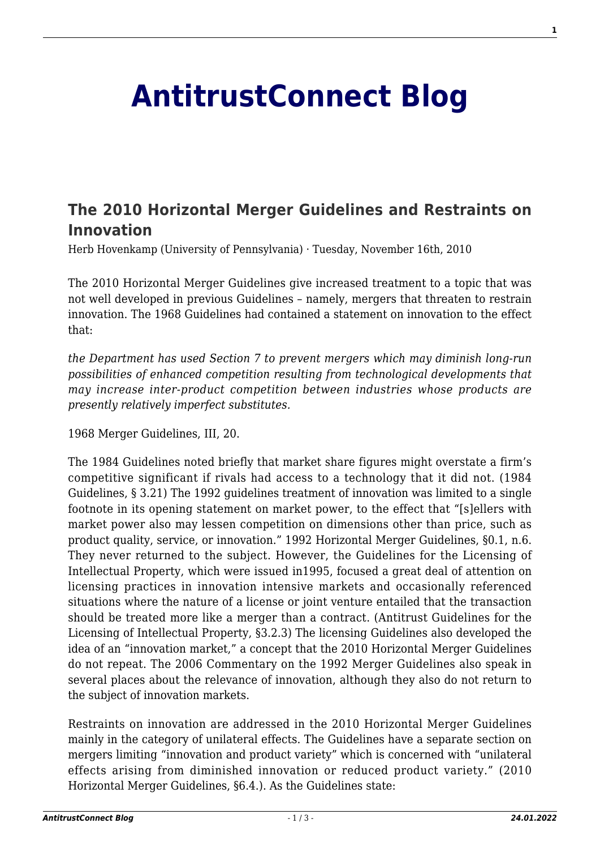## **[AntitrustConnect Blog](http://antitrustconnect.com/)**

## **[The 2010 Horizontal Merger Guidelines and Restraints on](http://antitrustconnect.com/2010/11/16/the-2010-horizontal-merger-guidelines-and-restraints-on-innovation/) [Innovation](http://antitrustconnect.com/2010/11/16/the-2010-horizontal-merger-guidelines-and-restraints-on-innovation/)**

Herb Hovenkamp (University of Pennsylvania) · Tuesday, November 16th, 2010

The 2010 Horizontal Merger Guidelines give increased treatment to a topic that was not well developed in previous Guidelines – namely, mergers that threaten to restrain innovation. The 1968 Guidelines had contained a statement on innovation to the effect that:

*the Department has used Section 7 to prevent mergers which may diminish long-run possibilities of enhanced competition resulting from technological developments that may increase inter-product competition between industries whose products are presently relatively imperfect substitutes.*

1968 Merger Guidelines, III, 20.

The 1984 Guidelines noted briefly that market share figures might overstate a firm's competitive significant if rivals had access to a technology that it did not. (1984 Guidelines, § 3.21) The 1992 guidelines treatment of innovation was limited to a single footnote in its opening statement on market power, to the effect that "[s]ellers with market power also may lessen competition on dimensions other than price, such as product quality, service, or innovation." 1992 Horizontal Merger Guidelines, §0.1, n.6. They never returned to the subject. However, the Guidelines for the Licensing of Intellectual Property, which were issued in1995, focused a great deal of attention on licensing practices in innovation intensive markets and occasionally referenced situations where the nature of a license or joint venture entailed that the transaction should be treated more like a merger than a contract. (Antitrust Guidelines for the Licensing of Intellectual Property, §3.2.3) The licensing Guidelines also developed the idea of an "innovation market," a concept that the 2010 Horizontal Merger Guidelines do not repeat. The 2006 Commentary on the 1992 Merger Guidelines also speak in several places about the relevance of innovation, although they also do not return to the subject of innovation markets.

Restraints on innovation are addressed in the 2010 Horizontal Merger Guidelines mainly in the category of unilateral effects. The Guidelines have a separate section on mergers limiting "innovation and product variety" which is concerned with "unilateral effects arising from diminished innovation or reduced product variety." (2010 Horizontal Merger Guidelines, §6.4.). As the Guidelines state: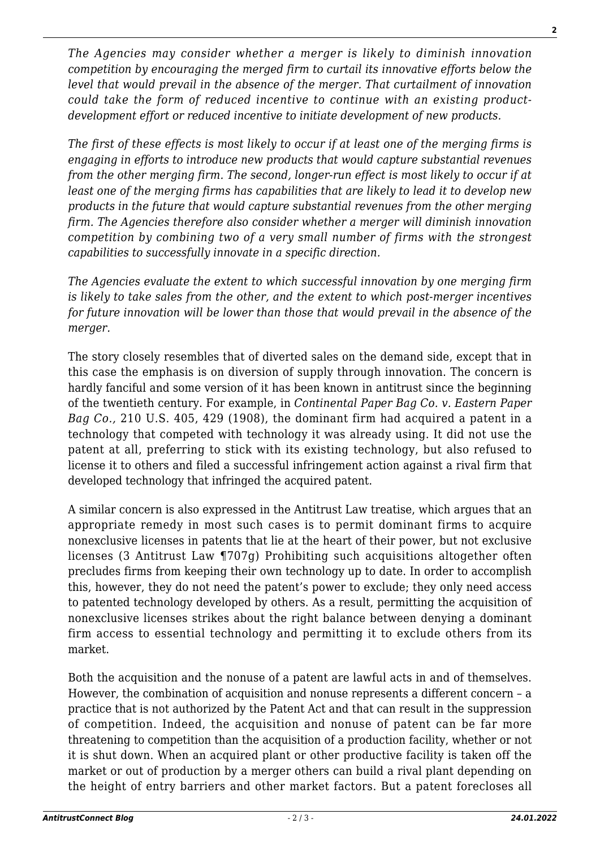*The Agencies may consider whether a merger is likely to diminish innovation competition by encouraging the merged firm to curtail its innovative efforts below the level that would prevail in the absence of the merger. That curtailment of innovation could take the form of reduced incentive to continue with an existing productdevelopment effort or reduced incentive to initiate development of new products.*

*The first of these effects is most likely to occur if at least one of the merging firms is engaging in efforts to introduce new products that would capture substantial revenues from the other merging firm. The second, longer-run effect is most likely to occur if at least one of the merging firms has capabilities that are likely to lead it to develop new products in the future that would capture substantial revenues from the other merging firm. The Agencies therefore also consider whether a merger will diminish innovation competition by combining two of a very small number of firms with the strongest capabilities to successfully innovate in a specific direction.*

*The Agencies evaluate the extent to which successful innovation by one merging firm is likely to take sales from the other, and the extent to which post-merger incentives for future innovation will be lower than those that would prevail in the absence of the merger.*

The story closely resembles that of diverted sales on the demand side, except that in this case the emphasis is on diversion of supply through innovation. The concern is hardly fanciful and some version of it has been known in antitrust since the beginning of the twentieth century. For example, in *Continental Paper Bag Co. v. Eastern Paper Bag Co.,* 210 U.S. 405, 429 (1908), the dominant firm had acquired a patent in a technology that competed with technology it was already using. It did not use the patent at all, preferring to stick with its existing technology, but also refused to license it to others and filed a successful infringement action against a rival firm that developed technology that infringed the acquired patent.

A similar concern is also expressed in the Antitrust Law treatise, which argues that an appropriate remedy in most such cases is to permit dominant firms to acquire nonexclusive licenses in patents that lie at the heart of their power, but not exclusive licenses (3 Antitrust Law ¶707g) Prohibiting such acquisitions altogether often precludes firms from keeping their own technology up to date. In order to accomplish this, however, they do not need the patent's power to exclude; they only need access to patented technology developed by others. As a result, permitting the acquisition of nonexclusive licenses strikes about the right balance between denying a dominant firm access to essential technology and permitting it to exclude others from its market.

Both the acquisition and the nonuse of a patent are lawful acts in and of themselves. However, the combination of acquisition and nonuse represents a different concern – a practice that is not authorized by the Patent Act and that can result in the suppression of competition. Indeed, the acquisition and nonuse of patent can be far more threatening to competition than the acquisition of a production facility, whether or not it is shut down. When an acquired plant or other productive facility is taken off the market or out of production by a merger others can build a rival plant depending on the height of entry barriers and other market factors. But a patent forecloses all